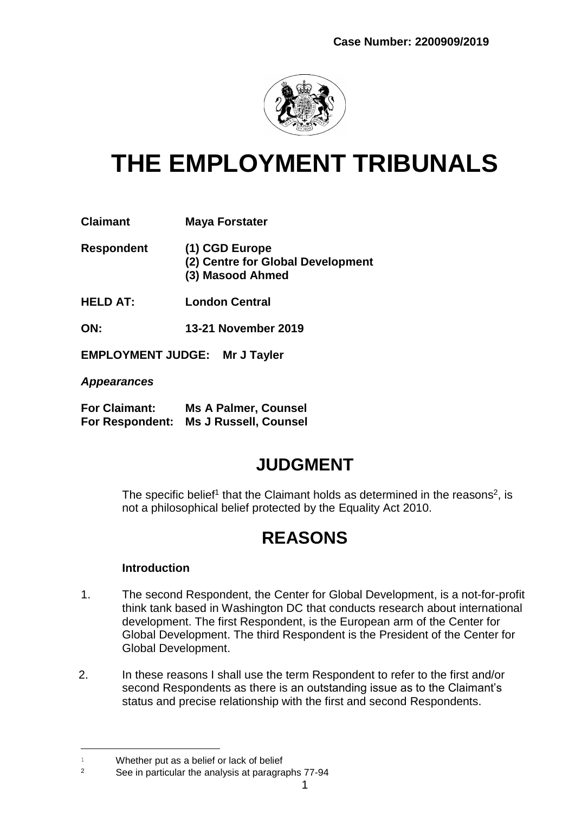

# **THE EMPLOYMENT TRIBUNALS**

**Claimant Maya Forstater**

**Respondent (1) CGD Europe (2) Centre for Global Development**

- **(3) Masood Ahmed**
- **HELD AT: London Central**
- **ON: 13-21 November 2019**

**EMPLOYMENT JUDGE: Mr J Tayler** 

#### *Appearances*

**For Claimant: Ms A Palmer, Counsel For Respondent: Ms J Russell, Counsel** 

### **JUDGMENT**

The specific belief<sup>1</sup> that the Claimant holds as determined in the reasons<sup>2</sup>, is not a philosophical belief protected by the Equality Act 2010.

## **REASONS**

#### **Introduction**

- 1. The second Respondent, the Center for Global Development, is a not-for-profit think tank based in Washington DC that conducts research about international development. The first Respondent, is the European arm of the Center for Global Development. The third Respondent is the President of the Center for Global Development.
- 2. In these reasons I shall use the term Respondent to refer to the first and/or second Respondents as there is an outstanding issue as to the Claimant's status and precise relationship with the first and second Respondents.

i<br>L

 $1$  Whether put as a belief or lack of belief

<sup>2</sup> See in particular the analysis at paragraphs 77-94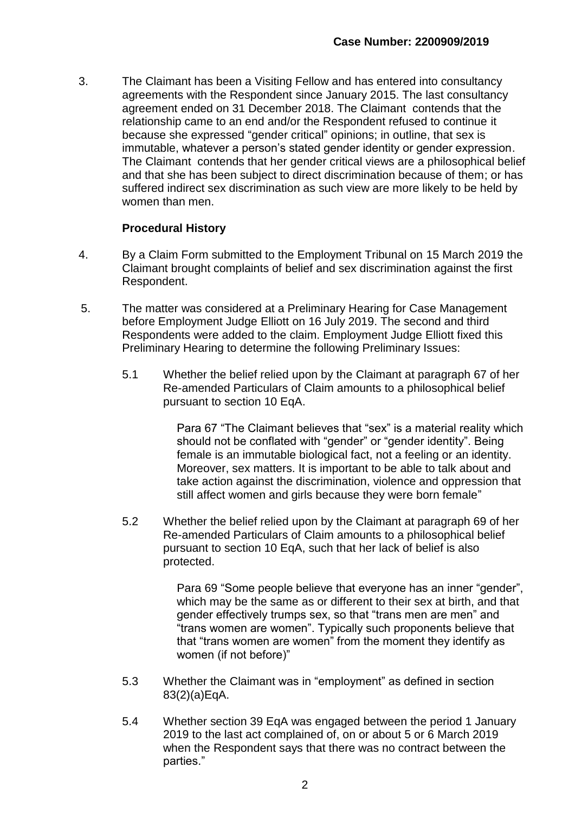3. The Claimant has been a Visiting Fellow and has entered into consultancy agreements with the Respondent since January 2015. The last consultancy agreement ended on 31 December 2018. The Claimant contends that the relationship came to an end and/or the Respondent refused to continue it because she expressed "gender critical" opinions; in outline, that sex is immutable, whatever a person's stated gender identity or gender expression. The Claimant contends that her gender critical views are a philosophical belief and that she has been subject to direct discrimination because of them; or has suffered indirect sex discrimination as such view are more likely to be held by women than men.

#### **Procedural History**

- 4. By a Claim Form submitted to the Employment Tribunal on 15 March 2019 the Claimant brought complaints of belief and sex discrimination against the first Respondent.
- 5. The matter was considered at a Preliminary Hearing for Case Management before Employment Judge Elliott on 16 July 2019. The second and third Respondents were added to the claim. Employment Judge Elliott fixed this Preliminary Hearing to determine the following Preliminary Issues:
	- 5.1 Whether the belief relied upon by the Claimant at paragraph 67 of her Re-amended Particulars of Claim amounts to a philosophical belief pursuant to section 10 EqA.

Para 67 "The Claimant believes that "sex" is a material reality which should not be conflated with "gender" or "gender identity". Being female is an immutable biological fact, not a feeling or an identity. Moreover, sex matters. It is important to be able to talk about and take action against the discrimination, violence and oppression that still affect women and girls because they were born female"

5.2 Whether the belief relied upon by the Claimant at paragraph 69 of her Re-amended Particulars of Claim amounts to a philosophical belief pursuant to section 10 EqA, such that her lack of belief is also protected.

> Para 69 "Some people believe that everyone has an inner "gender", which may be the same as or different to their sex at birth, and that gender effectively trumps sex, so that "trans men are men" and "trans women are women". Typically such proponents believe that that "trans women are women" from the moment they identify as women (if not before)"

- 5.3 Whether the Claimant was in "employment" as defined in section 83(2)(a)EqA.
- 5.4 Whether section 39 EqA was engaged between the period 1 January 2019 to the last act complained of, on or about 5 or 6 March 2019 when the Respondent says that there was no contract between the parties."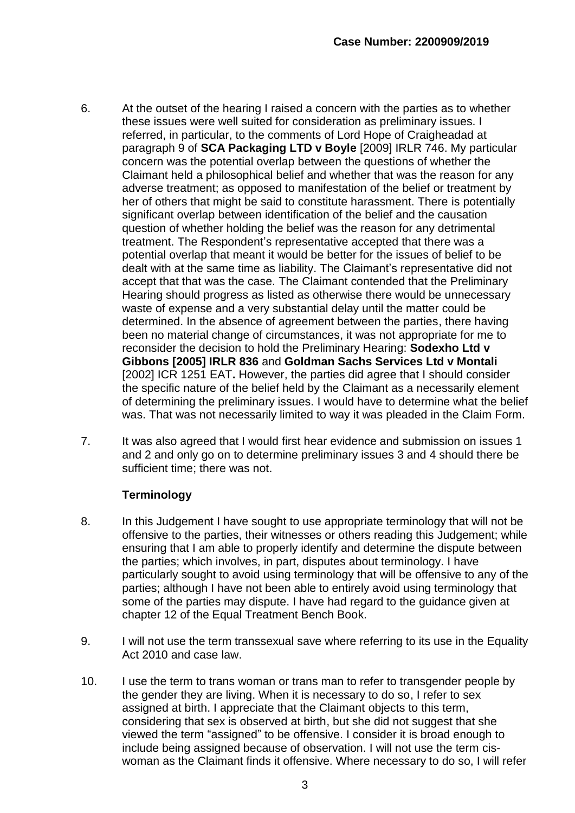- 6. At the outset of the hearing I raised a concern with the parties as to whether these issues were well suited for consideration as preliminary issues. I referred, in particular, to the comments of Lord Hope of Craigheadad at paragraph 9 of **SCA Packaging LTD v Boyle** [2009] IRLR 746. My particular concern was the potential overlap between the questions of whether the Claimant held a philosophical belief and whether that was the reason for any adverse treatment; as opposed to manifestation of the belief or treatment by her of others that might be said to constitute harassment. There is potentially significant overlap between identification of the belief and the causation question of whether holding the belief was the reason for any detrimental treatment. The Respondent's representative accepted that there was a potential overlap that meant it would be better for the issues of belief to be dealt with at the same time as liability. The Claimant's representative did not accept that that was the case. The Claimant contended that the Preliminary Hearing should progress as listed as otherwise there would be unnecessary waste of expense and a very substantial delay until the matter could be determined. In the absence of agreement between the parties, there having been no material change of circumstances, it was not appropriate for me to reconsider the decision to hold the Preliminary Hearing: **Sodexho Ltd v Gibbons [2005] IRLR 836** and **Goldman Sachs Services Ltd v Montali**  [2002] ICR 1251 EAT**.** However, the parties did agree that I should consider the specific nature of the belief held by the Claimant as a necessarily element of determining the preliminary issues. I would have to determine what the belief was. That was not necessarily limited to way it was pleaded in the Claim Form.
- 7. It was also agreed that I would first hear evidence and submission on issues 1 and 2 and only go on to determine preliminary issues 3 and 4 should there be sufficient time; there was not.

#### **Terminology**

- 8. In this Judgement I have sought to use appropriate terminology that will not be offensive to the parties, their witnesses or others reading this Judgement; while ensuring that I am able to properly identify and determine the dispute between the parties; which involves, in part, disputes about terminology. I have particularly sought to avoid using terminology that will be offensive to any of the parties; although I have not been able to entirely avoid using terminology that some of the parties may dispute. I have had regard to the guidance given at chapter 12 of the Equal Treatment Bench Book.
- 9. I will not use the term transsexual save where referring to its use in the Equality Act 2010 and case law.
- 10. I use the term to trans woman or trans man to refer to transgender people by the gender they are living. When it is necessary to do so, I refer to sex assigned at birth. I appreciate that the Claimant objects to this term, considering that sex is observed at birth, but she did not suggest that she viewed the term "assigned" to be offensive. I consider it is broad enough to include being assigned because of observation. I will not use the term ciswoman as the Claimant finds it offensive. Where necessary to do so, I will refer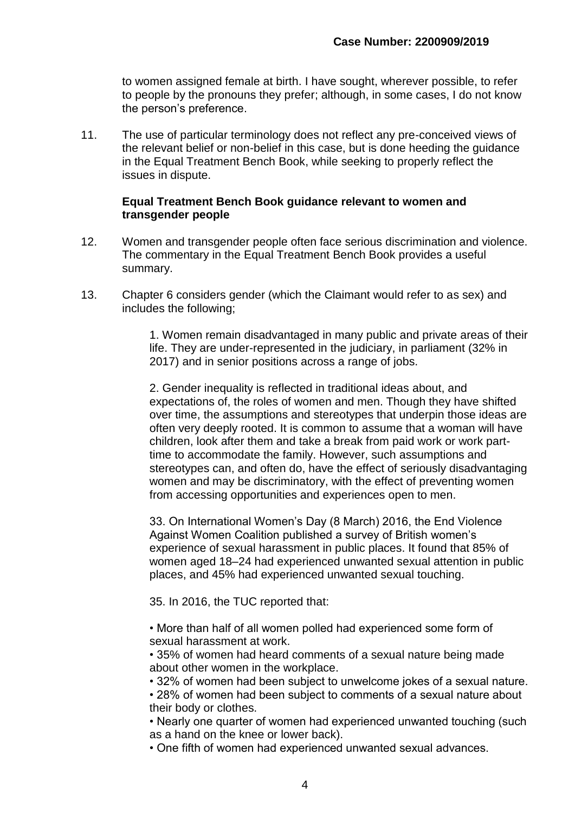to women assigned female at birth. I have sought, wherever possible, to refer to people by the pronouns they prefer; although, in some cases, I do not know the person's preference.

11. The use of particular terminology does not reflect any pre-conceived views of the relevant belief or non-belief in this case, but is done heeding the guidance in the Equal Treatment Bench Book, while seeking to properly reflect the issues in dispute.

#### **Equal Treatment Bench Book guidance relevant to women and transgender people**

- 12. Women and transgender people often face serious discrimination and violence. The commentary in the Equal Treatment Bench Book provides a useful summary.
- 13. Chapter 6 considers gender (which the Claimant would refer to as sex) and includes the following;

1. Women remain disadvantaged in many public and private areas of their life. They are under-represented in the judiciary, in parliament (32% in 2017) and in senior positions across a range of jobs.

2. Gender inequality is reflected in traditional ideas about, and expectations of, the roles of women and men. Though they have shifted over time, the assumptions and stereotypes that underpin those ideas are often very deeply rooted. It is common to assume that a woman will have children, look after them and take a break from paid work or work parttime to accommodate the family. However, such assumptions and stereotypes can, and often do, have the effect of seriously disadvantaging women and may be discriminatory, with the effect of preventing women from accessing opportunities and experiences open to men.

33. On International Women's Day (8 March) 2016, the End Violence Against Women Coalition published a survey of British women's experience of sexual harassment in public places. It found that 85% of women aged 18–24 had experienced unwanted sexual attention in public places, and 45% had experienced unwanted sexual touching.

35. In 2016, the TUC reported that:

• More than half of all women polled had experienced some form of sexual harassment at work.

• 35% of women had heard comments of a sexual nature being made about other women in the workplace.

• 32% of women had been subject to unwelcome jokes of a sexual nature.

• 28% of women had been subject to comments of a sexual nature about their body or clothes.

• Nearly one quarter of women had experienced unwanted touching (such as a hand on the knee or lower back).

• One fifth of women had experienced unwanted sexual advances.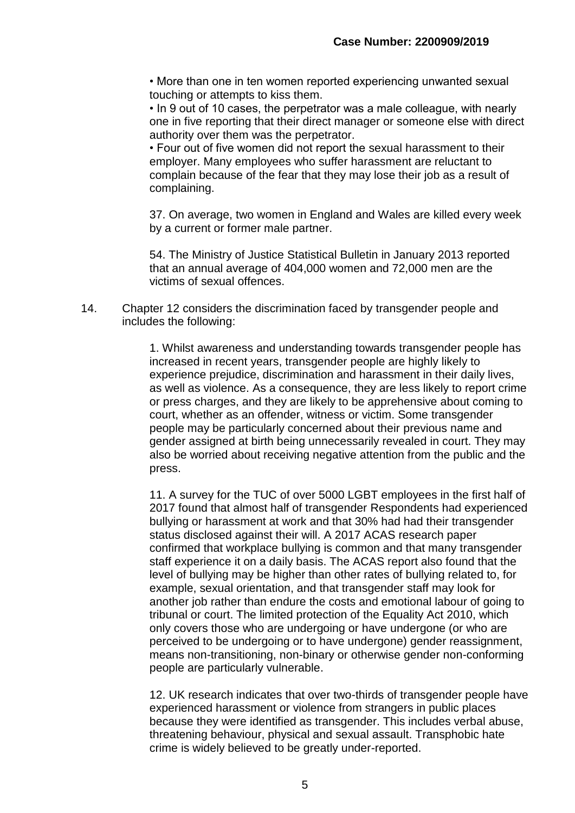• More than one in ten women reported experiencing unwanted sexual touching or attempts to kiss them.

• In 9 out of 10 cases, the perpetrator was a male colleague, with nearly one in five reporting that their direct manager or someone else with direct authority over them was the perpetrator.

• Four out of five women did not report the sexual harassment to their employer. Many employees who suffer harassment are reluctant to complain because of the fear that they may lose their job as a result of complaining.

37. On average, two women in England and Wales are killed every week by a current or former male partner.

54. The Ministry of Justice Statistical Bulletin in January 2013 reported that an annual average of 404,000 women and 72,000 men are the victims of sexual offences.

14. Chapter 12 considers the discrimination faced by transgender people and includes the following:

> 1. Whilst awareness and understanding towards transgender people has increased in recent years, transgender people are highly likely to experience prejudice, discrimination and harassment in their daily lives, as well as violence. As a consequence, they are less likely to report crime or press charges, and they are likely to be apprehensive about coming to court, whether as an offender, witness or victim. Some transgender people may be particularly concerned about their previous name and gender assigned at birth being unnecessarily revealed in court. They may also be worried about receiving negative attention from the public and the press.

> 11. A survey for the TUC of over 5000 LGBT employees in the first half of 2017 found that almost half of transgender Respondents had experienced bullying or harassment at work and that 30% had had their transgender status disclosed against their will. A 2017 ACAS research paper confirmed that workplace bullying is common and that many transgender staff experience it on a daily basis. The ACAS report also found that the level of bullying may be higher than other rates of bullying related to, for example, sexual orientation, and that transgender staff may look for another job rather than endure the costs and emotional labour of going to tribunal or court. The limited protection of the Equality Act 2010, which only covers those who are undergoing or have undergone (or who are perceived to be undergoing or to have undergone) gender reassignment, means non-transitioning, non-binary or otherwise gender non-conforming people are particularly vulnerable.

> 12. UK research indicates that over two-thirds of transgender people have experienced harassment or violence from strangers in public places because they were identified as transgender. This includes verbal abuse, threatening behaviour, physical and sexual assault. Transphobic hate crime is widely believed to be greatly under-reported.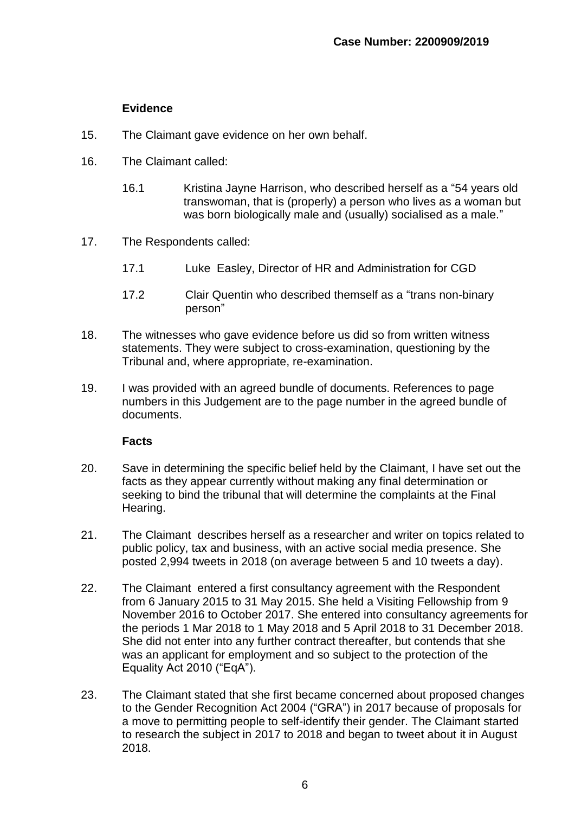#### **Evidence**

- 15. The Claimant gave evidence on her own behalf.
- 16. The Claimant called:
	- 16.1 Kristina Jayne Harrison, who described herself as a "54 years old transwoman, that is (properly) a person who lives as a woman but was born biologically male and (usually) socialised as a male."
- 17. The Respondents called:
	- 17.1 Luke Easley, Director of HR and Administration for CGD
	- 17.2 Clair Quentin who described themself as a "trans non-binary person"
- 18. The witnesses who gave evidence before us did so from written witness statements. They were subject to cross-examination, questioning by the Tribunal and, where appropriate, re-examination.
- 19. I was provided with an agreed bundle of documents. References to page numbers in this Judgement are to the page number in the agreed bundle of documents.

#### **Facts**

- 20. Save in determining the specific belief held by the Claimant, I have set out the facts as they appear currently without making any final determination or seeking to bind the tribunal that will determine the complaints at the Final Hearing.
- 21. The Claimant describes herself as a researcher and writer on topics related to public policy, tax and business, with an active social media presence. She posted 2,994 tweets in 2018 (on average between 5 and 10 tweets a day).
- 22. The Claimant entered a first consultancy agreement with the Respondent from 6 January 2015 to 31 May 2015. She held a Visiting Fellowship from 9 November 2016 to October 2017. She entered into consultancy agreements for the periods 1 Mar 2018 to 1 May 2018 and 5 April 2018 to 31 December 2018. She did not enter into any further contract thereafter, but contends that she was an applicant for employment and so subject to the protection of the Equality Act 2010 ("EqA").
- 23. The Claimant stated that she first became concerned about proposed changes to the Gender Recognition Act 2004 ("GRA") in 2017 because of proposals for a move to permitting people to self-identify their gender. The Claimant started to research the subject in 2017 to 2018 and began to tweet about it in August 2018.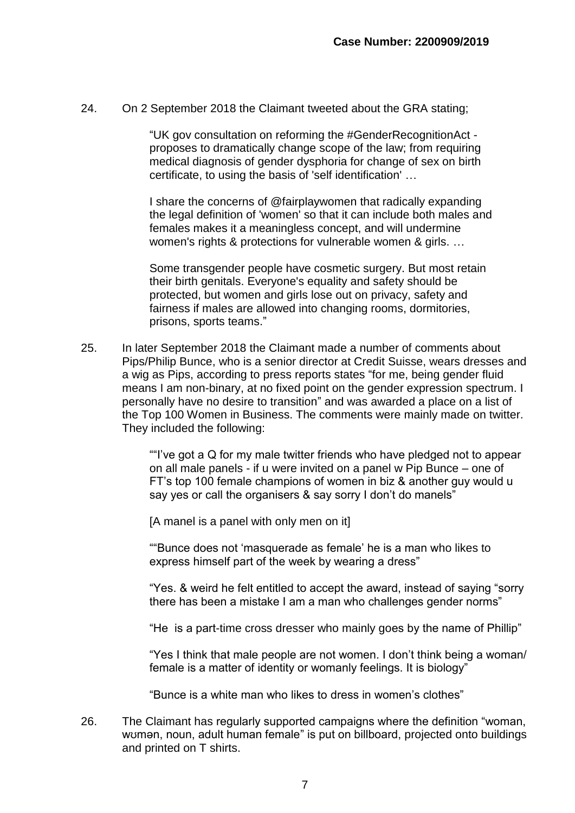24. On 2 September 2018 the Claimant tweeted about the GRA stating;

"UK gov consultation on reforming the #GenderRecognitionAct proposes to dramatically change scope of the law; from requiring medical diagnosis of gender dysphoria for change of sex on birth certificate, to using the basis of 'self identification' …

I share the concerns of @fairplaywomen that radically expanding the legal definition of 'women' so that it can include both males and females makes it a meaningless concept, and will undermine women's rights & protections for vulnerable women & girls. …

Some transgender people have cosmetic surgery. But most retain their birth genitals. Everyone's equality and safety should be protected, but women and girls lose out on privacy, safety and fairness if males are allowed into changing rooms, dormitories, prisons, sports teams."

25. In later September 2018 the Claimant made a number of comments about Pips/Philip Bunce, who is a senior director at Credit Suisse, wears dresses and a wig as Pips, according to press reports states "for me, being gender fluid means I am non-binary, at no fixed point on the gender expression spectrum. I personally have no desire to transition" and was awarded a place on a list of the Top 100 Women in Business. The comments were mainly made on twitter. They included the following:

> ""I've got a Q for my male twitter friends who have pledged not to appear on all male panels - if u were invited on a panel w Pip Bunce – one of FT's top 100 female champions of women in biz & another guy would u say yes or call the organisers & say sorry I don't do manels"

[A manel is a panel with only men on it]

""Bunce does not 'masquerade as female' he is a man who likes to express himself part of the week by wearing a dress"

"Yes. & weird he felt entitled to accept the award, instead of saying "sorry there has been a mistake I am a man who challenges gender norms"

"He is a part-time cross dresser who mainly goes by the name of Phillip"

"Yes I think that male people are not women. I don't think being a woman/ female is a matter of identity or womanly feelings. It is biology"

"Bunce is a white man who likes to dress in women's clothes"

26. The Claimant has regularly supported campaigns where the definition "woman, wʊmən, noun, adult human female" is put on billboard, projected onto buildings and printed on T shirts.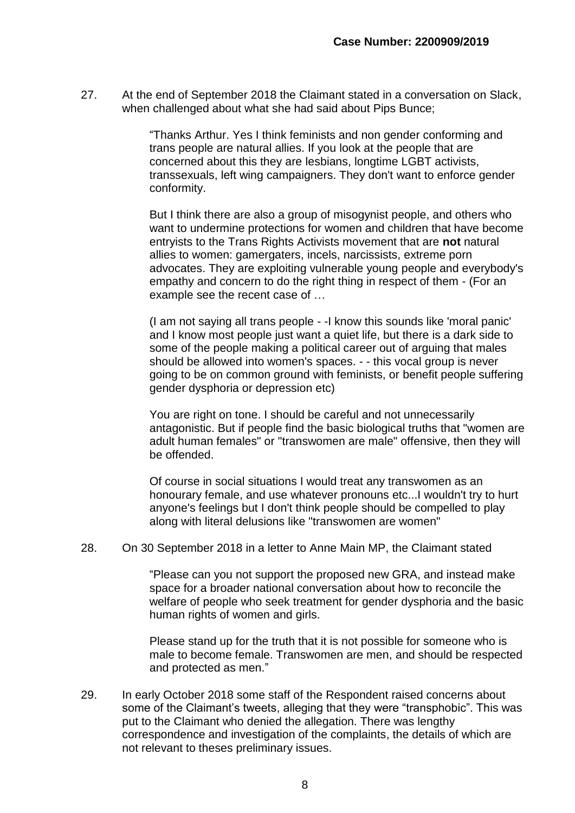27. At the end of September 2018 the Claimant stated in a conversation on Slack, when challenged about what she had said about Pips Bunce;

> "Thanks Arthur. Yes I think feminists and non gender conforming and trans people are natural allies. If you look at the people that are concerned about this they are lesbians, longtime LGBT activists, transsexuals, left wing campaigners. They don't want to enforce gender conformity.

But I think there are also a group of misogynist people, and others who want to undermine protections for women and children that have become entryists to the Trans Rights Activists movement that are **not** natural allies to women: gamergaters, incels, narcissists, extreme porn advocates. They are exploiting vulnerable young people and everybody's empathy and concern to do the right thing in respect of them - (For an example see the recent case of …

(I am not saying all trans people - -I know this sounds like 'moral panic' and I know most people just want a quiet life, but there is a dark side to some of the people making a political career out of arguing that males should be allowed into women's spaces. - - this vocal group is never going to be on common ground with feminists, or benefit people suffering gender dysphoria or depression etc)

You are right on tone. I should be careful and not unnecessarily antagonistic. But if people find the basic biological truths that "women are adult human females" or "transwomen are male" offensive, then they will be offended.

Of course in social situations I would treat any transwomen as an honourary female, and use whatever pronouns etc...I wouldn't try to hurt anyone's feelings but I don't think people should be compelled to play along with literal delusions like "transwomen are women"

28. On 30 September 2018 in a letter to Anne Main MP, the Claimant stated

"Please can you not support the proposed new GRA, and instead make space for a broader national conversation about how to reconcile the welfare of people who seek treatment for gender dysphoria and the basic human rights of women and girls.

Please stand up for the truth that it is not possible for someone who is male to become female. Transwomen are men, and should be respected and protected as men."

29. In early October 2018 some staff of the Respondent raised concerns about some of the Claimant's tweets, alleging that they were "transphobic". This was put to the Claimant who denied the allegation. There was lengthy correspondence and investigation of the complaints, the details of which are not relevant to theses preliminary issues.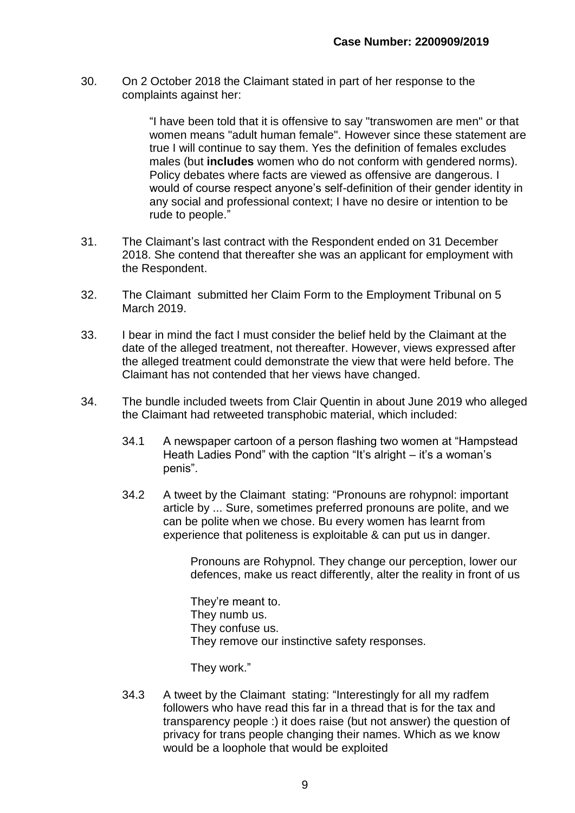30. On 2 October 2018 the Claimant stated in part of her response to the complaints against her:

> "I have been told that it is offensive to say "transwomen are men" or that women means "adult human female". However since these statement are true I will continue to say them. Yes the definition of females excludes males (but **includes** women who do not conform with gendered norms). Policy debates where facts are viewed as offensive are dangerous. I would of course respect anyone's self-definition of their gender identity in any social and professional context; I have no desire or intention to be rude to people."

- 31. The Claimant's last contract with the Respondent ended on 31 December 2018. She contend that thereafter she was an applicant for employment with the Respondent.
- 32. The Claimant submitted her Claim Form to the Employment Tribunal on 5 March 2019.
- 33. I bear in mind the fact I must consider the belief held by the Claimant at the date of the alleged treatment, not thereafter. However, views expressed after the alleged treatment could demonstrate the view that were held before. The Claimant has not contended that her views have changed.
- 34. The bundle included tweets from Clair Quentin in about June 2019 who alleged the Claimant had retweeted transphobic material, which included:
	- 34.1 A newspaper cartoon of a person flashing two women at "Hampstead Heath Ladies Pond" with the caption "It's alright – it's a woman's penis".
	- 34.2 A tweet by the Claimant stating: "Pronouns are rohypnol: important article by ... Sure, sometimes preferred pronouns are polite, and we can be polite when we chose. Bu every women has learnt from experience that politeness is exploitable & can put us in danger.

Pronouns are Rohypnol. They change our perception, lower our defences, make us react differently, alter the reality in front of us

They're meant to. They numb us. They confuse us. They remove our instinctive safety responses.

They work."

34.3 A tweet by the Claimant stating: "Interestingly for alI my radfem followers who have read this far in a thread that is for the tax and transparency people :) it does raise (but not answer) the question of privacy for trans people changing their names. Which as we know would be a loophole that would be exploited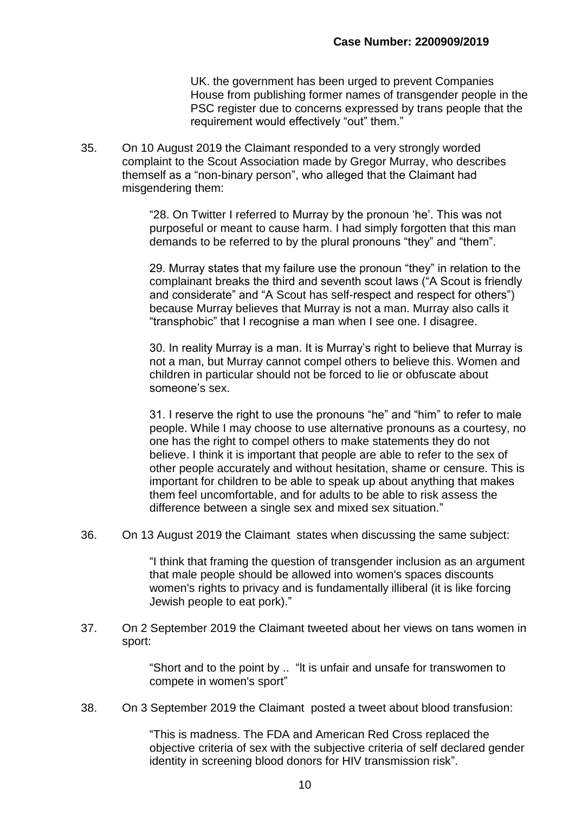UK, the government has been urged to prevent Companies House from publishing former names of transgender people in the PSC register due to concerns expressed by trans people that the requirement would effectively "out" them."

35. On 10 August 2019 the Claimant responded to a very strongly worded complaint to the Scout Association made by Gregor Murray, who describes themself as a "non-binary person", who alleged that the Claimant had misgendering them:

> "28. On Twitter I referred to Murray by the pronoun 'he'. This was not purposeful or meant to cause harm. I had simply forgotten that this man demands to be referred to by the plural pronouns "they" and "them".

29. Murray states that my failure use the pronoun "they" in relation to the complainant breaks the third and seventh scout laws ("A Scout is friendly and considerate" and "A Scout has self-respect and respect for others") because Murray believes that Murray is not a man. Murray also calls it "transphobic" that I recognise a man when I see one. I disagree.

30. In reality Murray is a man. It is Murray's right to believe that Murray is not a man, but Murray cannot compel others to believe this. Women and children in particular should not be forced to lie or obfuscate about someone's sex.

31. I reserve the right to use the pronouns "he" and "him" to refer to male people. While I may choose to use alternative pronouns as a courtesy, no one has the right to compel others to make statements they do not believe. I think it is important that people are able to refer to the sex of other people accurately and without hesitation, shame or censure. This is important for children to be able to speak up about anything that makes them feel uncomfortable, and for adults to be able to risk assess the difference between a single sex and mixed sex situation."

36. On 13 August 2019 the Claimant states when discussing the same subject:

"I think that framing the question of transgender inclusion as an argument that male people should be allowed into women's spaces discounts women's rights to privacy and is fundamentally illiberal (it is like forcing Jewish people to eat pork)."

37. On 2 September 2019 the Claimant tweeted about her views on tans women in sport:

> "Short and to the point by .. "lt is unfair and unsafe for transwomen to compete in women's sport"

38. On 3 September 2019 the Claimant posted a tweet about blood transfusion:

"This is madness. The FDA and American Red Cross replaced the objective criteria of sex with the subjective criteria of self declared gender identity in screening blood donors for HIV transmission risk".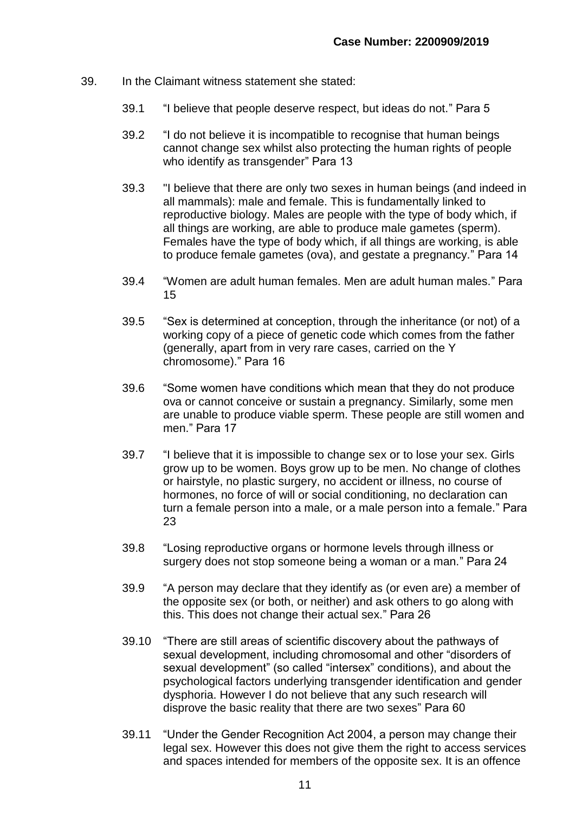- 39. In the Claimant witness statement she stated:
	- 39.1 "I believe that people deserve respect, but ideas do not." Para 5
	- 39.2 "I do not believe it is incompatible to recognise that human beings cannot change sex whilst also protecting the human rights of people who identify as transgender" Para 13
	- 39.3 "I believe that there are only two sexes in human beings (and indeed in all mammals): male and female. This is fundamentally linked to reproductive biology. Males are people with the type of body which, if all things are working, are able to produce male gametes (sperm). Females have the type of body which, if all things are working, is able to produce female gametes (ova), and gestate a pregnancy." Para 14
	- 39.4 "Women are adult human females. Men are adult human males." Para 15
	- 39.5 "Sex is determined at conception, through the inheritance (or not) of a working copy of a piece of genetic code which comes from the father (generally, apart from in very rare cases, carried on the Y chromosome)." Para 16
	- 39.6 "Some women have conditions which mean that they do not produce ova or cannot conceive or sustain a pregnancy. Similarly, some men are unable to produce viable sperm. These people are still women and men." Para 17
	- 39.7 "I believe that it is impossible to change sex or to lose your sex. Girls grow up to be women. Boys grow up to be men. No change of clothes or hairstyle, no plastic surgery, no accident or illness, no course of hormones, no force of will or social conditioning, no declaration can turn a female person into a male, or a male person into a female." Para 23
	- 39.8 "Losing reproductive organs or hormone levels through illness or surgery does not stop someone being a woman or a man." Para 24
	- 39.9 "A person may declare that they identify as (or even are) a member of the opposite sex (or both, or neither) and ask others to go along with this. This does not change their actual sex." Para 26
	- 39.10 "There are still areas of scientific discovery about the pathways of sexual development, including chromosomal and other "disorders of sexual development" (so called "intersex" conditions), and about the psychological factors underlying transgender identification and gender dysphoria. However I do not believe that any such research will disprove the basic reality that there are two sexes" Para 60
	- 39.11 "Under the Gender Recognition Act 2004, a person may change their legal sex. However this does not give them the right to access services and spaces intended for members of the opposite sex. It is an offence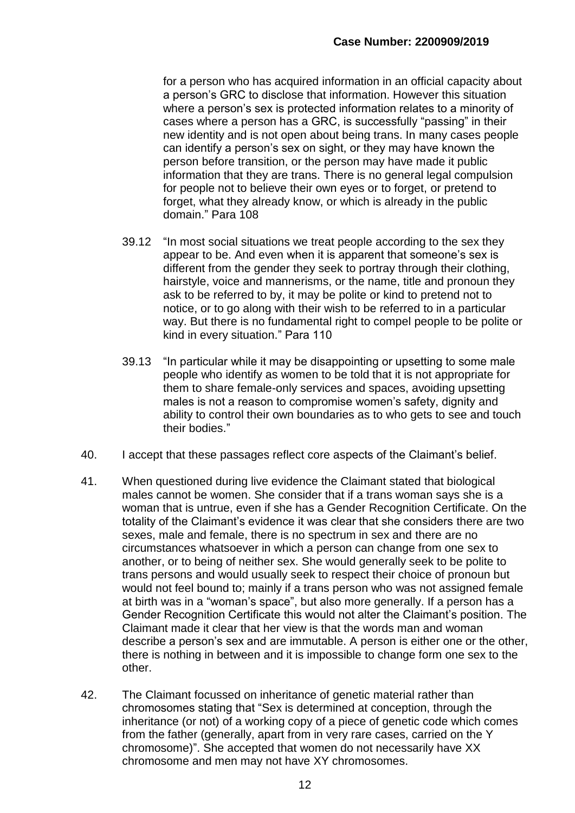for a person who has acquired information in an official capacity about a person's GRC to disclose that information. However this situation where a person's sex is protected information relates to a minority of cases where a person has a GRC, is successfully "passing" in their new identity and is not open about being trans. In many cases people can identify a person's sex on sight, or they may have known the person before transition, or the person may have made it public information that they are trans. There is no general legal compulsion for people not to believe their own eyes or to forget, or pretend to forget, what they already know, or which is already in the public domain." Para 108

- 39.12 "In most social situations we treat people according to the sex they appear to be. And even when it is apparent that someone's sex is different from the gender they seek to portray through their clothing, hairstyle, voice and mannerisms, or the name, title and pronoun they ask to be referred to by, it may be polite or kind to pretend not to notice, or to go along with their wish to be referred to in a particular way. But there is no fundamental right to compel people to be polite or kind in every situation." Para 110
- 39.13 "In particular while it may be disappointing or upsetting to some male people who identify as women to be told that it is not appropriate for them to share female-only services and spaces, avoiding upsetting males is not a reason to compromise women's safety, dignity and ability to control their own boundaries as to who gets to see and touch their bodies."
- 40. I accept that these passages reflect core aspects of the Claimant's belief.
- 41. When questioned during live evidence the Claimant stated that biological males cannot be women. She consider that if a trans woman says she is a woman that is untrue, even if she has a Gender Recognition Certificate. On the totality of the Claimant's evidence it was clear that she considers there are two sexes, male and female, there is no spectrum in sex and there are no circumstances whatsoever in which a person can change from one sex to another, or to being of neither sex. She would generally seek to be polite to trans persons and would usually seek to respect their choice of pronoun but would not feel bound to; mainly if a trans person who was not assigned female at birth was in a "woman's space", but also more generally. If a person has a Gender Recognition Certificate this would not alter the Claimant's position. The Claimant made it clear that her view is that the words man and woman describe a person's sex and are immutable. A person is either one or the other, there is nothing in between and it is impossible to change form one sex to the other.
- 42. The Claimant focussed on inheritance of genetic material rather than chromosomes stating that "Sex is determined at conception, through the inheritance (or not) of a working copy of a piece of genetic code which comes from the father (generally, apart from in very rare cases, carried on the Y chromosome)". She accepted that women do not necessarily have XX chromosome and men may not have XY chromosomes.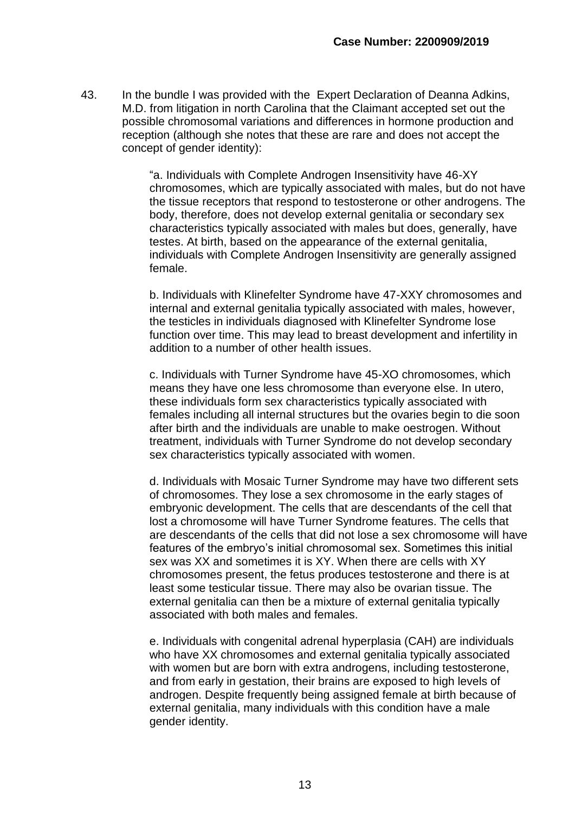43. In the bundle I was provided with the Expert Declaration of Deanna Adkins, M.D. from litigation in north Carolina that the Claimant accepted set out the possible chromosomal variations and differences in hormone production and reception (although she notes that these are rare and does not accept the concept of gender identity):

> "a. Individuals with Complete Androgen Insensitivity have 46-XY chromosomes, which are typically associated with males, but do not have the tissue receptors that respond to testosterone or other androgens. The body, therefore, does not develop external genitalia or secondary sex characteristics typically associated with males but does, generally, have testes. At birth, based on the appearance of the external genitalia, individuals with Complete Androgen Insensitivity are generally assigned female.

> b. Individuals with Klinefelter Syndrome have 47-XXY chromosomes and internal and external genitalia typically associated with males, however, the testicles in individuals diagnosed with Klinefelter Syndrome lose function over time. This may lead to breast development and infertility in addition to a number of other health issues.

> c. Individuals with Turner Syndrome have 45-XO chromosomes, which means they have one less chromosome than everyone else. In utero, these individuals form sex characteristics typically associated with females including all internal structures but the ovaries begin to die soon after birth and the individuals are unable to make oestrogen. Without treatment, individuals with Turner Syndrome do not develop secondary sex characteristics typically associated with women.

d. Individuals with Mosaic Turner Syndrome may have two different sets of chromosomes. They lose a sex chromosome in the early stages of embryonic development. The cells that are descendants of the cell that lost a chromosome will have Turner Syndrome features. The cells that are descendants of the cells that did not lose a sex chromosome will have features of the embryo's initial chromosomal sex. Sometimes this initial sex was XX and sometimes it is XY. When there are cells with XY chromosomes present, the fetus produces testosterone and there is at least some testicular tissue. There may also be ovarian tissue. The external genitalia can then be a mixture of external genitalia typically associated with both males and females.

e. Individuals with congenital adrenal hyperplasia (CAH) are individuals who have XX chromosomes and external genitalia typically associated with women but are born with extra androgens, including testosterone, and from early in gestation, their brains are exposed to high levels of androgen. Despite frequently being assigned female at birth because of external genitalia, many individuals with this condition have a male gender identity.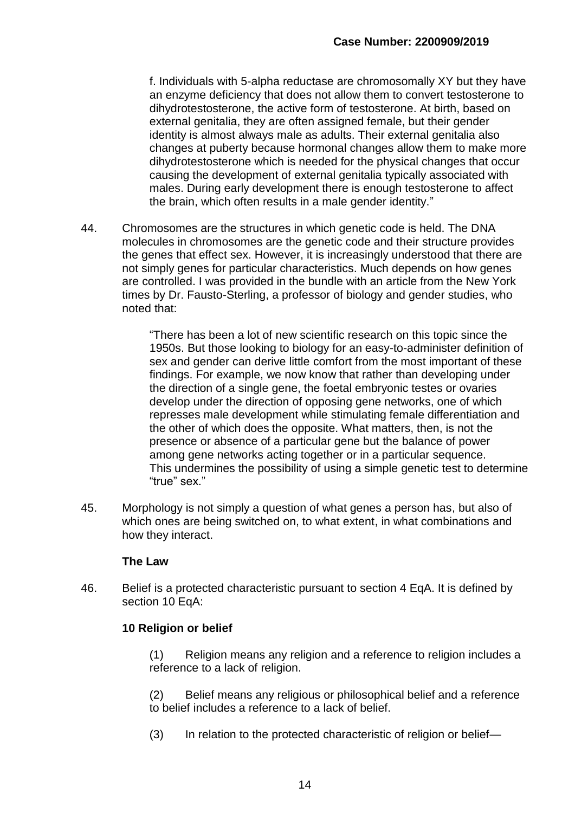f. Individuals with 5-alpha reductase are chromosomally XY but they have an enzyme deficiency that does not allow them to convert testosterone to dihydrotestosterone, the active form of testosterone. At birth, based on external genitalia, they are often assigned female, but their gender identity is almost always male as adults. Their external genitalia also changes at puberty because hormonal changes allow them to make more dihydrotestosterone which is needed for the physical changes that occur causing the development of external genitalia typically associated with males. During early development there is enough testosterone to affect the brain, which often results in a male gender identity."

44. Chromosomes are the structures in which genetic code is held. The DNA molecules in chromosomes are the genetic code and their structure provides the genes that effect sex. However, it is increasingly understood that there are not simply genes for particular characteristics. Much depends on how genes are controlled. I was provided in the bundle with an article from the New York times by Dr. Fausto-Sterling, a professor of biology and gender studies, who noted that:

> "There has been a lot of new scientific research on this topic since the 1950s. But those looking to biology for an easy-to-administer definition of sex and gender can derive little comfort from the most important of these findings. For example, we now know that rather than developing under the direction of a single gene, the foetal embryonic testes or ovaries develop under the direction of opposing gene networks, one of which represses male development while stimulating female differentiation and the other of which does the opposite. What matters, then, is not the presence or absence of a particular gene but the balance of power among gene networks acting together or in a particular sequence. This undermines the possibility of using a simple genetic test to determine "true" sex."

45. Morphology is not simply a question of what genes a person has, but also of which ones are being switched on, to what extent, in what combinations and how they interact.

#### **The Law**

46. Belief is a protected characteristic pursuant to section 4 EqA. It is defined by section 10 EqA:

#### **10 Religion or belief**

(1) Religion means any religion and a reference to religion includes a reference to a lack of religion.

(2) Belief means any religious or philosophical belief and a reference to belief includes a reference to a lack of belief.

(3) In relation to the protected characteristic of religion or belief—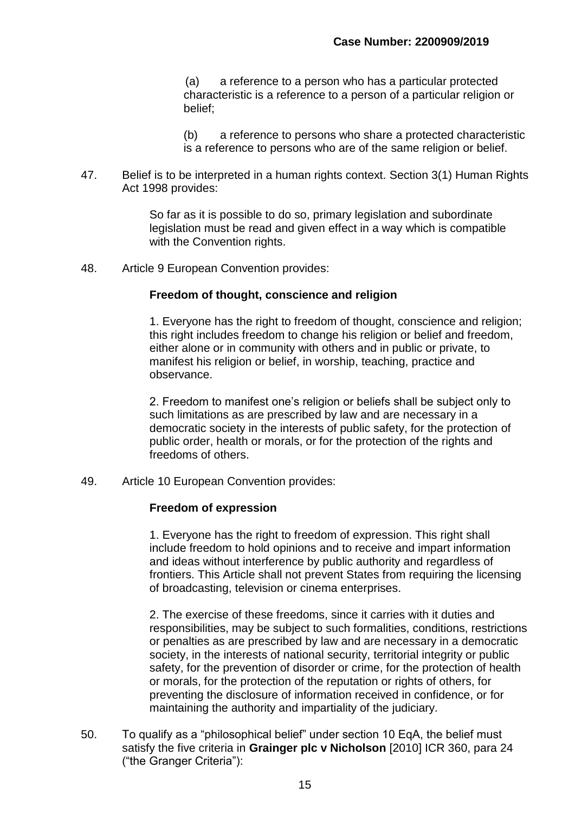(a) a reference to a person who has a particular protected characteristic is a reference to a person of a particular religion or belief;

(b) a reference to persons who share a protected characteristic is a reference to persons who are of the same religion or belief.

47. Belief is to be interpreted in a human rights context. Section 3(1) Human Rights Act 1998 provides:

> So far as it is possible to do so, primary legislation and subordinate legislation must be read and given effect in a way which is compatible with the Convention rights.

48. Article 9 European Convention provides:

#### **Freedom of thought, conscience and religion**

1. Everyone has the right to freedom of thought, conscience and religion; this right includes freedom to change his religion or belief and freedom, either alone or in community with others and in public or private, to manifest his religion or belief, in worship, teaching, practice and observance.

2. Freedom to manifest one's religion or beliefs shall be subject only to such limitations as are prescribed by law and are necessary in a democratic society in the interests of public safety, for the protection of public order, health or morals, or for the protection of the rights and freedoms of others.

49. Article 10 European Convention provides:

#### **Freedom of expression**

1. Everyone has the right to freedom of expression. This right shall include freedom to hold opinions and to receive and impart information and ideas without interference by public authority and regardless of frontiers. This Article shall not prevent States from requiring the licensing of broadcasting, television or cinema enterprises.

2. The exercise of these freedoms, since it carries with it duties and responsibilities, may be subject to such formalities, conditions, restrictions or penalties as are prescribed by law and are necessary in a democratic society, in the interests of national security, territorial integrity or public safety, for the prevention of disorder or crime, for the protection of health or morals, for the protection of the reputation or rights of others, for preventing the disclosure of information received in confidence, or for maintaining the authority and impartiality of the judiciary.

50. To qualify as a "philosophical belief" under section 10 EqA, the belief must satisfy the five criteria in **Grainger plc v Nicholson** [2010] ICR 360, para 24 ("the Granger Criteria"):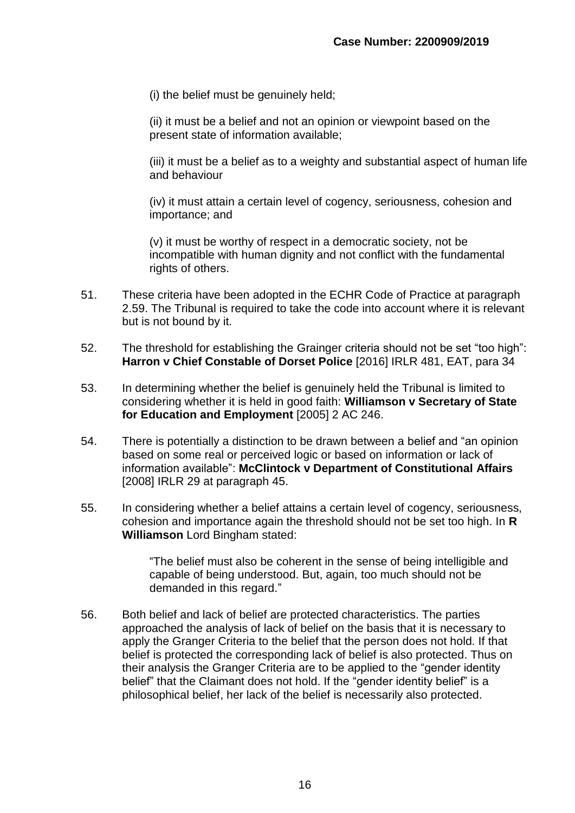(i) the belief must be genuinely held;

(ii) it must be a belief and not an opinion or viewpoint based on the present state of information available;

(iii) it must be a belief as to a weighty and substantial aspect of human life and behaviour

(iv) it must attain a certain level of cogency, seriousness, cohesion and importance; and

(v) it must be worthy of respect in a democratic society, not be incompatible with human dignity and not conflict with the fundamental rights of others.

- 51. These criteria have been adopted in the ECHR Code of Practice at paragraph 2.59. The Tribunal is required to take the code into account where it is relevant but is not bound by it.
- 52. The threshold for establishing the Grainger criteria should not be set "too high": **Harron v Chief Constable of Dorset Police** [2016] IRLR 481, EAT, para 34
- 53. In determining whether the belief is genuinely held the Tribunal is limited to considering whether it is held in good faith: **Williamson v Secretary of State for Education and Employment** [2005] 2 AC 246.
- 54. There is potentially a distinction to be drawn between a belief and "an opinion based on some real or perceived logic or based on information or lack of information available": **McClintock v Department of Constitutional Affairs** [2008] IRLR 29 at paragraph 45.
- 55. In considering whether a belief attains a certain level of cogency, seriousness, cohesion and importance again the threshold should not be set too high. In **R Williamson** Lord Bingham stated:

"The belief must also be coherent in the sense of being intelligible and capable of being understood. But, again, too much should not be demanded in this regard."

56. Both belief and lack of belief are protected characteristics. The parties approached the analysis of lack of belief on the basis that it is necessary to apply the Granger Criteria to the belief that the person does not hold. If that belief is protected the corresponding lack of belief is also protected. Thus on their analysis the Granger Criteria are to be applied to the "gender identity belief" that the Claimant does not hold. If the "gender identity belief" is a philosophical belief, her lack of the belief is necessarily also protected.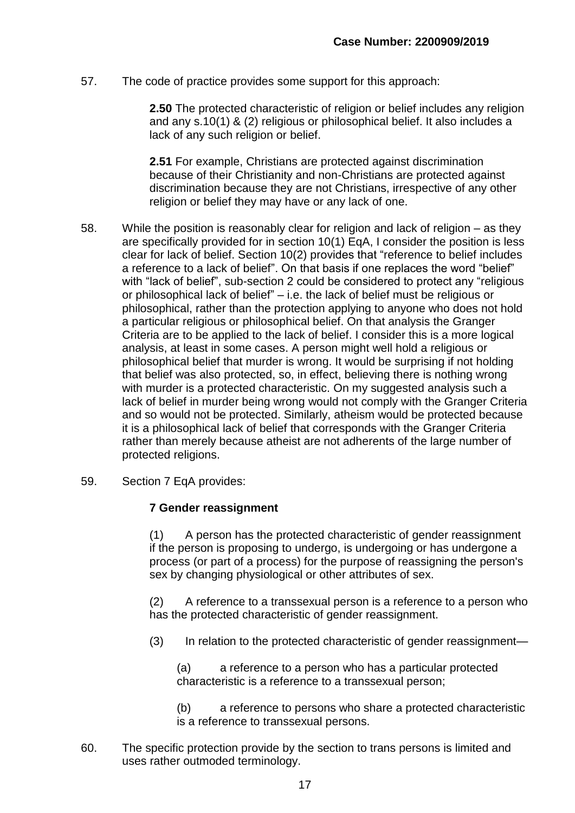57. The code of practice provides some support for this approach:

**2.50** The protected characteristic of religion or belief includes any religion and any s.10(1) & (2) religious or philosophical belief. It also includes a lack of any such religion or belief.

**2.51** For example, Christians are protected against discrimination because of their Christianity and non-Christians are protected against discrimination because they are not Christians, irrespective of any other religion or belief they may have or any lack of one.

- 58. While the position is reasonably clear for religion and lack of religion as they are specifically provided for in section 10(1) EqA, I consider the position is less clear for lack of belief. Section 10(2) provides that "reference to belief includes a reference to a lack of belief". On that basis if one replaces the word "belief" with "lack of belief", sub-section 2 could be considered to protect any "religious or philosophical lack of belief" – i.e. the lack of belief must be religious or philosophical, rather than the protection applying to anyone who does not hold a particular religious or philosophical belief. On that analysis the Granger Criteria are to be applied to the lack of belief. I consider this is a more logical analysis, at least in some cases. A person might well hold a religious or philosophical belief that murder is wrong. It would be surprising if not holding that belief was also protected, so, in effect, believing there is nothing wrong with murder is a protected characteristic. On my suggested analysis such a lack of belief in murder being wrong would not comply with the Granger Criteria and so would not be protected. Similarly, atheism would be protected because it is a philosophical lack of belief that corresponds with the Granger Criteria rather than merely because atheist are not adherents of the large number of protected religions.
- 59. Section 7 EqA provides:

#### **7 Gender reassignment**

(1) A person has the protected characteristic of gender reassignment if the person is proposing to undergo, is undergoing or has undergone a process (or part of a process) for the purpose of reassigning the person's sex by changing physiological or other attributes of sex.

(2) A reference to a transsexual person is a reference to a person who has the protected characteristic of gender reassignment.

(3) In relation to the protected characteristic of gender reassignment—

(a) a reference to a person who has a particular protected characteristic is a reference to a transsexual person;

(b) a reference to persons who share a protected characteristic is a reference to transsexual persons.

60. The specific protection provide by the section to trans persons is limited and uses rather outmoded terminology.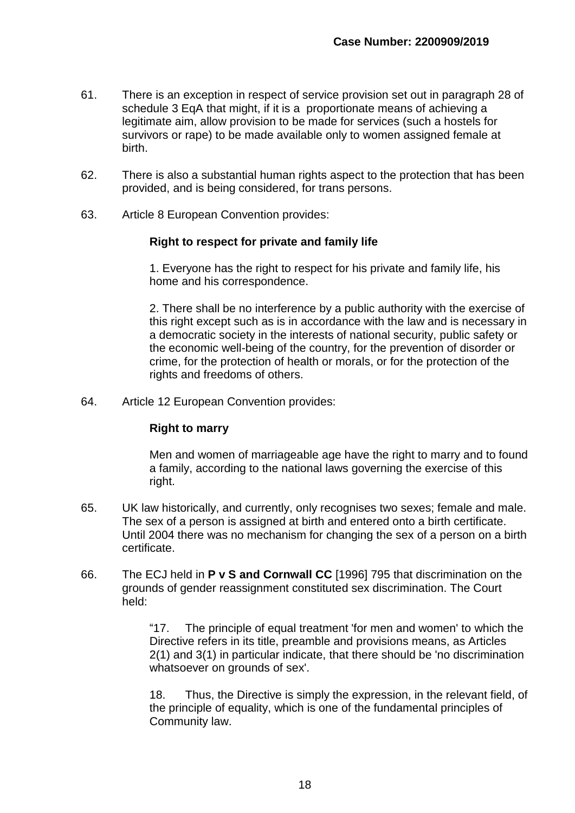- 61. There is an exception in respect of service provision set out in paragraph 28 of schedule 3 EqA that might, if it is a proportionate means of achieving a legitimate aim, allow provision to be made for services (such a hostels for survivors or rape) to be made available only to women assigned female at birth.
- 62. There is also a substantial human rights aspect to the protection that has been provided, and is being considered, for trans persons.
- 63. Article 8 European Convention provides:

#### **Right to respect for private and family life**

1. Everyone has the right to respect for his private and family life, his home and his correspondence.

2. There shall be no interference by a public authority with the exercise of this right except such as is in accordance with the law and is necessary in a democratic society in the interests of national security, public safety or the economic well-being of the country, for the prevention of disorder or crime, for the protection of health or morals, or for the protection of the rights and freedoms of others.

64. Article 12 European Convention provides:

#### **Right to marry**

Men and women of marriageable age have the right to marry and to found a family, according to the national laws governing the exercise of this right.

- 65. UK law historically, and currently, only recognises two sexes; female and male. The sex of a person is assigned at birth and entered onto a birth certificate. Until 2004 there was no mechanism for changing the sex of a person on a birth certificate.
- 66. The ECJ held in **P v S and Cornwall CC** [1996] 795 that discrimination on the grounds of gender reassignment constituted sex discrimination. The Court held:

"17. The principle of equal treatment 'for men and women' to which the Directive refers in its title, preamble and provisions means, as Articles 2(1) and 3(1) in particular indicate, that there should be 'no discrimination whatsoever on grounds of sex'.

18. Thus, the Directive is simply the expression, in the relevant field, of the principle of equality, which is one of the fundamental principles of Community law.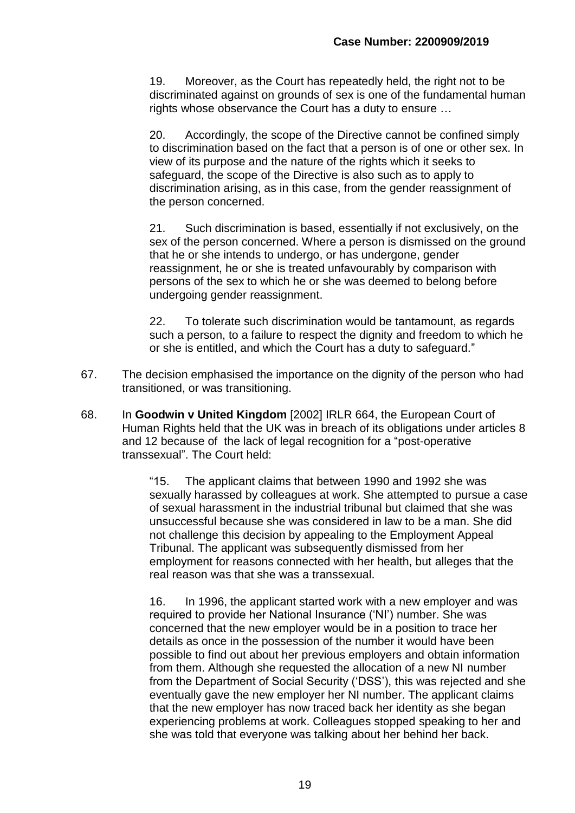19. Moreover, as the Court has repeatedly held, the right not to be discriminated against on grounds of sex is one of the fundamental human rights whose observance the Court has a duty to ensure …

20. Accordingly, the scope of the Directive cannot be confined simply to discrimination based on the fact that a person is of one or other sex. In view of its purpose and the nature of the rights which it seeks to safeguard, the scope of the Directive is also such as to apply to discrimination arising, as in this case, from the gender reassignment of the person concerned.

21. Such discrimination is based, essentially if not exclusively, on the sex of the person concerned. Where a person is dismissed on the ground that he or she intends to undergo, or has undergone, gender reassignment, he or she is treated unfavourably by comparison with persons of the sex to which he or she was deemed to belong before undergoing gender reassignment.

22. To tolerate such discrimination would be tantamount, as regards such a person, to a failure to respect the dignity and freedom to which he or she is entitled, and which the Court has a duty to safeguard."

- 67. The decision emphasised the importance on the dignity of the person who had transitioned, or was transitioning.
- 68. In **Goodwin v United Kingdom** [2002] IRLR 664, the European Court of Human Rights held that the UK was in breach of its obligations under articles 8 and 12 because of the lack of legal recognition for a "post-operative transsexual". The Court held:

"15. The applicant claims that between 1990 and 1992 she was sexually harassed by colleagues at work. She attempted to pursue a case of sexual harassment in the industrial tribunal but claimed that she was unsuccessful because she was considered in law to be a man. She did not challenge this decision by appealing to the Employment Appeal Tribunal. The applicant was subsequently dismissed from her employment for reasons connected with her health, but alleges that the real reason was that she was a transsexual.

16. In 1996, the applicant started work with a new employer and was required to provide her National Insurance ('NI') number. She was concerned that the new employer would be in a position to trace her details as once in the possession of the number it would have been possible to find out about her previous employers and obtain information from them. Although she requested the allocation of a new NI number from the Department of Social Security ('DSS'), this was rejected and she eventually gave the new employer her NI number. The applicant claims that the new employer has now traced back her identity as she began experiencing problems at work. Colleagues stopped speaking to her and she was told that everyone was talking about her behind her back.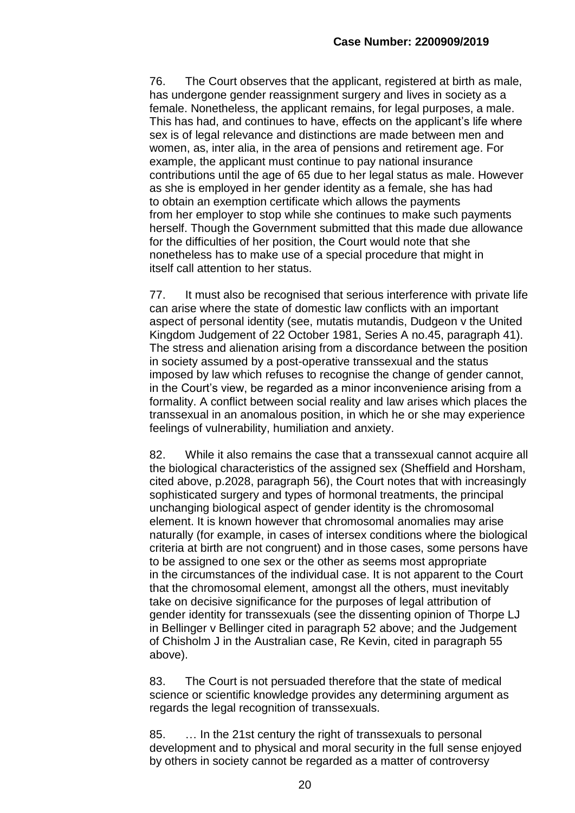76. The Court observes that the applicant, registered at birth as male, has undergone gender reassignment surgery and lives in society as a female. Nonetheless, the applicant remains, for legal purposes, a male. This has had, and continues to have, effects on the applicant's life where sex is of legal relevance and distinctions are made between men and women, as, inter alia, in the area of pensions and retirement age. For example, the applicant must continue to pay national insurance contributions until the age of 65 due to her legal status as male. However as she is employed in her gender identity as a female, she has had to obtain an exemption certificate which allows the payments from her employer to stop while she continues to make such payments herself. Though the Government submitted that this made due allowance for the difficulties of her position, the Court would note that she nonetheless has to make use of a special procedure that might in itself call attention to her status.

77. It must also be recognised that serious interference with private life can arise where the state of domestic law conflicts with an important aspect of personal identity (see, mutatis mutandis, Dudgeon v the United Kingdom Judgement of 22 October 1981, Series A no.45, paragraph 41). The stress and alienation arising from a discordance between the position in society assumed by a post-operative transsexual and the status imposed by law which refuses to recognise the change of gender cannot, in the Court's view, be regarded as a minor inconvenience arising from a formality. A conflict between social reality and law arises which places the transsexual in an anomalous position, in which he or she may experience feelings of vulnerability, humiliation and anxiety.

82. While it also remains the case that a transsexual cannot acquire all the biological characteristics of the assigned sex (Sheffield and Horsham, cited above, p.2028, paragraph 56), the Court notes that with increasingly sophisticated surgery and types of hormonal treatments, the principal unchanging biological aspect of gender identity is the chromosomal element. It is known however that chromosomal anomalies may arise naturally (for example, in cases of intersex conditions where the biological criteria at birth are not congruent) and in those cases, some persons have to be assigned to one sex or the other as seems most appropriate in the circumstances of the individual case. It is not apparent to the Court that the chromosomal element, amongst all the others, must inevitably take on decisive significance for the purposes of legal attribution of gender identity for transsexuals (see the dissenting opinion of Thorpe LJ in Bellinger v Bellinger cited in paragraph 52 above; and the Judgement of Chisholm J in the Australian case, Re Kevin, cited in paragraph 55 above).

83. The Court is not persuaded therefore that the state of medical science or scientific knowledge provides any determining argument as regards the legal recognition of transsexuals.

85. … In the 21st century the right of transsexuals to personal development and to physical and moral security in the full sense enjoyed by others in society cannot be regarded as a matter of controversy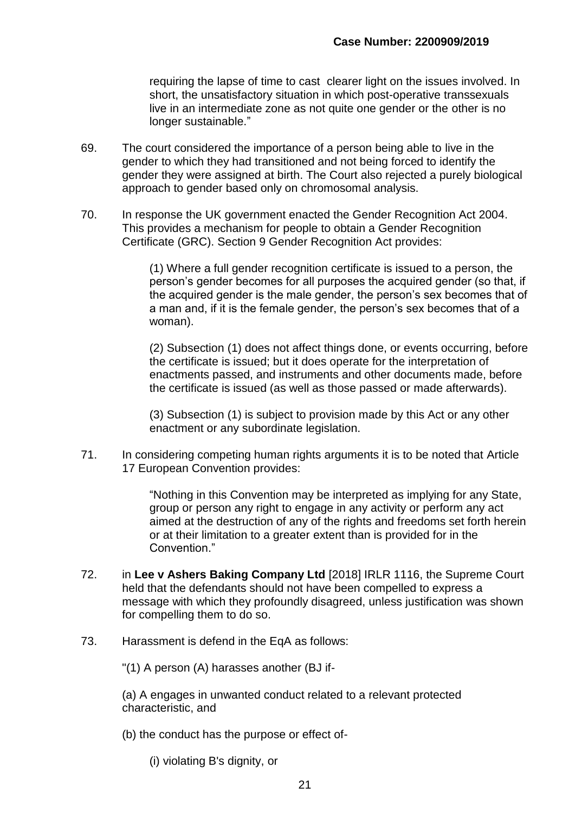requiring the lapse of time to cast clearer light on the issues involved. In short, the unsatisfactory situation in which post-operative transsexuals live in an intermediate zone as not quite one gender or the other is no longer sustainable."

- 69. The court considered the importance of a person being able to live in the gender to which they had transitioned and not being forced to identify the gender they were assigned at birth. The Court also rejected a purely biological approach to gender based only on chromosomal analysis.
- 70. In response the UK government enacted the Gender Recognition Act 2004. This provides a mechanism for people to obtain a Gender Recognition Certificate (GRC). Section 9 Gender Recognition Act provides:

(1) Where a full gender recognition certificate is issued to a person, the person's gender becomes for all purposes the acquired gender (so that, if the acquired gender is the male gender, the person's sex becomes that of a man and, if it is the female gender, the person's sex becomes that of a woman).

(2) Subsection (1) does not affect things done, or events occurring, before the certificate is issued; but it does operate for the interpretation of enactments passed, and instruments and other documents made, before the certificate is issued (as well as those passed or made afterwards).

(3) Subsection (1) is subject to provision made by this Act or any other enactment or any subordinate legislation.

71. In considering competing human rights arguments it is to be noted that Article 17 European Convention provides:

> "Nothing in this Convention may be interpreted as implying for any State, group or person any right to engage in any activity or perform any act aimed at the destruction of any of the rights and freedoms set forth herein or at their limitation to a greater extent than is provided for in the Convention."

- 72. in **Lee v Ashers Baking Company Ltd** [2018] IRLR 1116, the Supreme Court held that the defendants should not have been compelled to express a message with which they profoundly disagreed, unless justification was shown for compelling them to do so.
- 73. Harassment is defend in the EqA as follows:

"(1) A person (A) harasses another (BJ if-

(a) A engages in unwanted conduct related to a relevant protected characteristic, and

- (b) the conduct has the purpose or effect of-
	- (i) violating B's dignity, or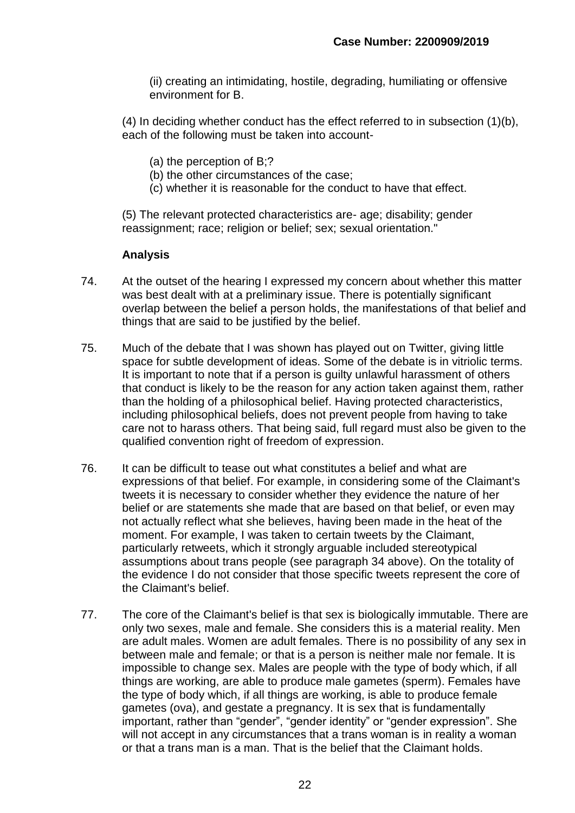(ii) creating an intimidating, hostile, degrading, humiliating or offensive environment for B.

(4) In deciding whether conduct has the effect referred to in subsection (1)(b), each of the following must be taken into account-

- (a) the perception of B;?
- (b) the other circumstances of the case;
- (c) whether it is reasonable for the conduct to have that effect.

(5) The relevant protected characteristics are- age; disability; gender reassignment; race; religion or belief; sex; sexual orientation."

#### **Analysis**

- 74. At the outset of the hearing I expressed my concern about whether this matter was best dealt with at a preliminary issue. There is potentially significant overlap between the belief a person holds, the manifestations of that belief and things that are said to be justified by the belief.
- 75. Much of the debate that I was shown has played out on Twitter, giving little space for subtle development of ideas. Some of the debate is in vitriolic terms. It is important to note that if a person is guilty unlawful harassment of others that conduct is likely to be the reason for any action taken against them, rather than the holding of a philosophical belief. Having protected characteristics, including philosophical beliefs, does not prevent people from having to take care not to harass others. That being said, full regard must also be given to the qualified convention right of freedom of expression.
- 76. It can be difficult to tease out what constitutes a belief and what are expressions of that belief. For example, in considering some of the Claimant's tweets it is necessary to consider whether they evidence the nature of her belief or are statements she made that are based on that belief, or even may not actually reflect what she believes, having been made in the heat of the moment. For example, I was taken to certain tweets by the Claimant, particularly retweets, which it strongly arguable included stereotypical assumptions about trans people (see paragraph 34 above). On the totality of the evidence I do not consider that those specific tweets represent the core of the Claimant's belief.
- 77. The core of the Claimant's belief is that sex is biologically immutable. There are only two sexes, male and female. She considers this is a material reality. Men are adult males. Women are adult females. There is no possibility of any sex in between male and female; or that is a person is neither male nor female. It is impossible to change sex. Males are people with the type of body which, if all things are working, are able to produce male gametes (sperm). Females have the type of body which, if all things are working, is able to produce female gametes (ova), and gestate a pregnancy. It is sex that is fundamentally important, rather than "gender", "gender identity" or "gender expression". She will not accept in any circumstances that a trans woman is in reality a woman or that a trans man is a man. That is the belief that the Claimant holds.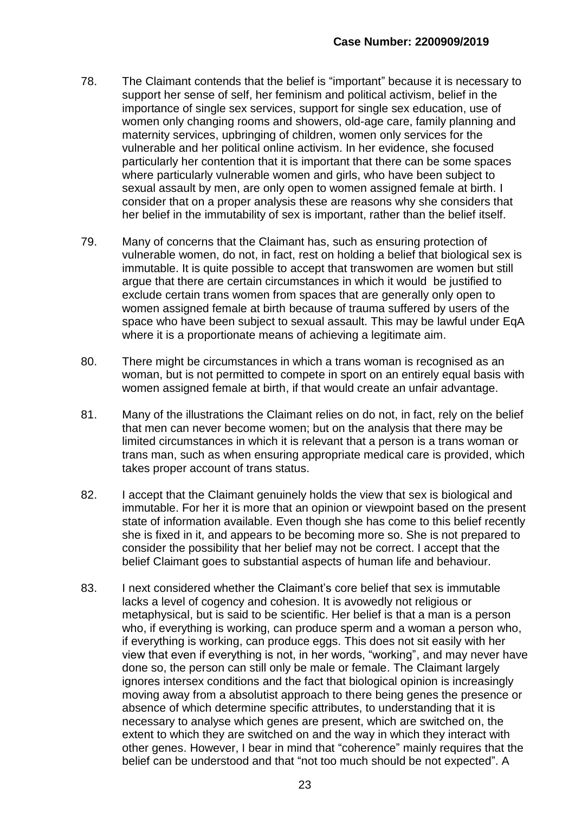- 78. The Claimant contends that the belief is "important" because it is necessary to support her sense of self, her feminism and political activism, belief in the importance of single sex services, support for single sex education, use of women only changing rooms and showers, old-age care, family planning and maternity services, upbringing of children, women only services for the vulnerable and her political online activism. In her evidence, she focused particularly her contention that it is important that there can be some spaces where particularly vulnerable women and girls, who have been subject to sexual assault by men, are only open to women assigned female at birth. I consider that on a proper analysis these are reasons why she considers that her belief in the immutability of sex is important, rather than the belief itself.
- 79. Many of concerns that the Claimant has, such as ensuring protection of vulnerable women, do not, in fact, rest on holding a belief that biological sex is immutable. It is quite possible to accept that transwomen are women but still argue that there are certain circumstances in which it would be justified to exclude certain trans women from spaces that are generally only open to women assigned female at birth because of trauma suffered by users of the space who have been subject to sexual assault. This may be lawful under EqA where it is a proportionate means of achieving a legitimate aim.
- 80. There might be circumstances in which a trans woman is recognised as an woman, but is not permitted to compete in sport on an entirely equal basis with women assigned female at birth, if that would create an unfair advantage.
- 81. Many of the illustrations the Claimant relies on do not, in fact, rely on the belief that men can never become women; but on the analysis that there may be limited circumstances in which it is relevant that a person is a trans woman or trans man, such as when ensuring appropriate medical care is provided, which takes proper account of trans status.
- 82. I accept that the Claimant genuinely holds the view that sex is biological and immutable. For her it is more that an opinion or viewpoint based on the present state of information available. Even though she has come to this belief recently she is fixed in it, and appears to be becoming more so. She is not prepared to consider the possibility that her belief may not be correct. I accept that the belief Claimant goes to substantial aspects of human life and behaviour.
- 83. I next considered whether the Claimant's core belief that sex is immutable lacks a level of cogency and cohesion. It is avowedly not religious or metaphysical, but is said to be scientific. Her belief is that a man is a person who, if everything is working, can produce sperm and a woman a person who, if everything is working, can produce eggs. This does not sit easily with her view that even if everything is not, in her words, "working", and may never have done so, the person can still only be male or female. The Claimant largely ignores intersex conditions and the fact that biological opinion is increasingly moving away from a absolutist approach to there being genes the presence or absence of which determine specific attributes, to understanding that it is necessary to analyse which genes are present, which are switched on, the extent to which they are switched on and the way in which they interact with other genes. However, I bear in mind that "coherence" mainly requires that the belief can be understood and that "not too much should be not expected". A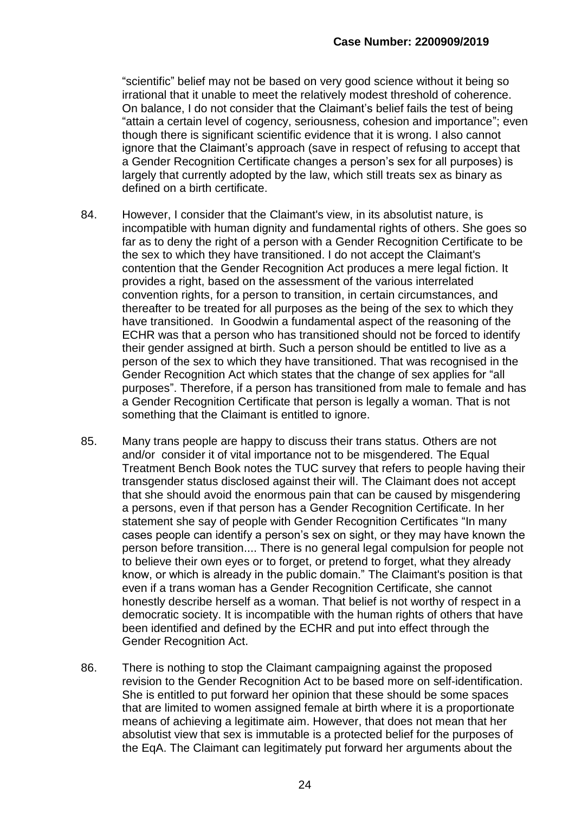"scientific" belief may not be based on very good science without it being so irrational that it unable to meet the relatively modest threshold of coherence. On balance, I do not consider that the Claimant's belief fails the test of being "attain a certain level of cogency, seriousness, cohesion and importance"; even though there is significant scientific evidence that it is wrong. I also cannot ignore that the Claimant's approach (save in respect of refusing to accept that a Gender Recognition Certificate changes a person's sex for all purposes) is largely that currently adopted by the law, which still treats sex as binary as defined on a birth certificate.

- 84. However, I consider that the Claimant's view, in its absolutist nature, is incompatible with human dignity and fundamental rights of others. She goes so far as to deny the right of a person with a Gender Recognition Certificate to be the sex to which they have transitioned. I do not accept the Claimant's contention that the Gender Recognition Act produces a mere legal fiction. It provides a right, based on the assessment of the various interrelated convention rights, for a person to transition, in certain circumstances, and thereafter to be treated for all purposes as the being of the sex to which they have transitioned. In Goodwin a fundamental aspect of the reasoning of the ECHR was that a person who has transitioned should not be forced to identify their gender assigned at birth. Such a person should be entitled to live as a person of the sex to which they have transitioned. That was recognised in the Gender Recognition Act which states that the change of sex applies for "all purposes". Therefore, if a person has transitioned from male to female and has a Gender Recognition Certificate that person is legally a woman. That is not something that the Claimant is entitled to ignore.
- 85. Many trans people are happy to discuss their trans status. Others are not and/or consider it of vital importance not to be misgendered. The Equal Treatment Bench Book notes the TUC survey that refers to people having their transgender status disclosed against their will. The Claimant does not accept that she should avoid the enormous pain that can be caused by misgendering a persons, even if that person has a Gender Recognition Certificate. In her statement she say of people with Gender Recognition Certificates "In many cases people can identify a person's sex on sight, or they may have known the person before transition.... There is no general legal compulsion for people not to believe their own eyes or to forget, or pretend to forget, what they already know, or which is already in the public domain." The Claimant's position is that even if a trans woman has a Gender Recognition Certificate, she cannot honestly describe herself as a woman. That belief is not worthy of respect in a democratic society. It is incompatible with the human rights of others that have been identified and defined by the ECHR and put into effect through the Gender Recognition Act.
- 86. There is nothing to stop the Claimant campaigning against the proposed revision to the Gender Recognition Act to be based more on self-identification. She is entitled to put forward her opinion that these should be some spaces that are limited to women assigned female at birth where it is a proportionate means of achieving a legitimate aim. However, that does not mean that her absolutist view that sex is immutable is a protected belief for the purposes of the EqA. The Claimant can legitimately put forward her arguments about the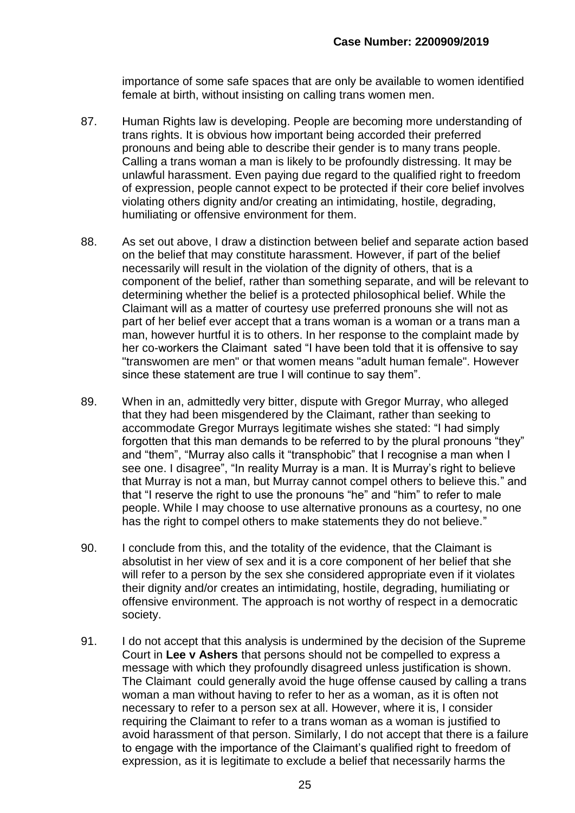importance of some safe spaces that are only be available to women identified female at birth, without insisting on calling trans women men.

- 87. Human Rights law is developing. People are becoming more understanding of trans rights. It is obvious how important being accorded their preferred pronouns and being able to describe their gender is to many trans people. Calling a trans woman a man is likely to be profoundly distressing. It may be unlawful harassment. Even paying due regard to the qualified right to freedom of expression, people cannot expect to be protected if their core belief involves violating others dignity and/or creating an intimidating, hostile, degrading, humiliating or offensive environment for them.
- 88. As set out above, I draw a distinction between belief and separate action based on the belief that may constitute harassment. However, if part of the belief necessarily will result in the violation of the dignity of others, that is a component of the belief, rather than something separate, and will be relevant to determining whether the belief is a protected philosophical belief. While the Claimant will as a matter of courtesy use preferred pronouns she will not as part of her belief ever accept that a trans woman is a woman or a trans man a man, however hurtful it is to others. In her response to the complaint made by her co-workers the Claimant sated "I have been told that it is offensive to say "transwomen are men" or that women means "adult human female". However since these statement are true I will continue to say them".
- 89. When in an, admittedly very bitter, dispute with Gregor Murray, who alleged that they had been misgendered by the Claimant, rather than seeking to accommodate Gregor Murrays legitimate wishes she stated: "I had simply forgotten that this man demands to be referred to by the plural pronouns "they" and "them", "Murray also calls it "transphobic" that I recognise a man when I see one. I disagree", "In reality Murray is a man. It is Murray's right to believe that Murray is not a man, but Murray cannot compel others to believe this." and that "I reserve the right to use the pronouns "he" and "him" to refer to male people. While I may choose to use alternative pronouns as a courtesy, no one has the right to compel others to make statements they do not believe."
- 90. I conclude from this, and the totality of the evidence, that the Claimant is absolutist in her view of sex and it is a core component of her belief that she will refer to a person by the sex she considered appropriate even if it violates their dignity and/or creates an intimidating, hostile, degrading, humiliating or offensive environment. The approach is not worthy of respect in a democratic society.
- 91. I do not accept that this analysis is undermined by the decision of the Supreme Court in **Lee v Ashers** that persons should not be compelled to express a message with which they profoundly disagreed unless justification is shown. The Claimant could generally avoid the huge offense caused by calling a trans woman a man without having to refer to her as a woman, as it is often not necessary to refer to a person sex at all. However, where it is, I consider requiring the Claimant to refer to a trans woman as a woman is justified to avoid harassment of that person. Similarly, I do not accept that there is a failure to engage with the importance of the Claimant's qualified right to freedom of expression, as it is legitimate to exclude a belief that necessarily harms the